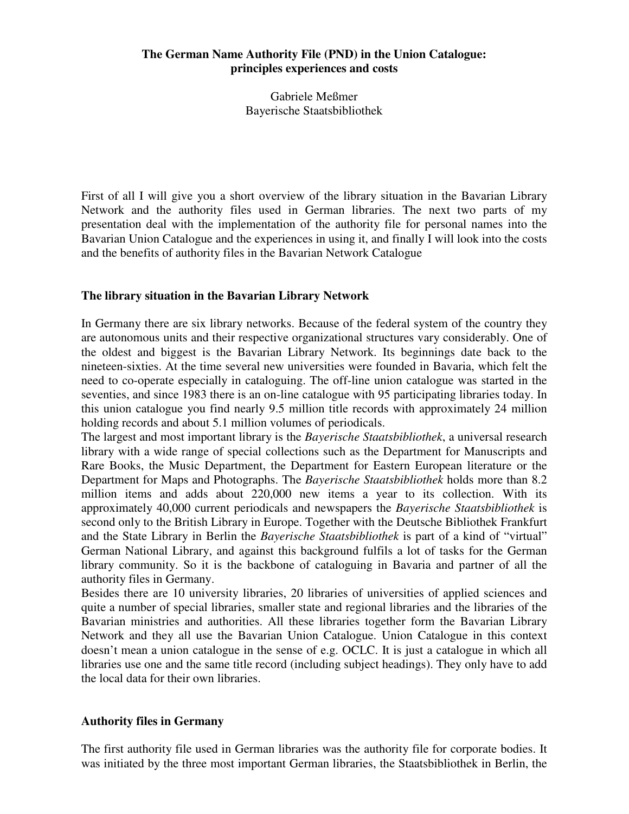## **The German Name Authority File (PND) in the Union Catalogue: principles experiences and costs**

Gabriele Meßmer Bayerische Staatsbibliothek

First of all I will give you a short overview of the library situation in the Bavarian Library Network and the authority files used in German libraries. The next two parts of my presentation deal with the implementation of the authority file for personal names into the Bavarian Union Catalogue and the experiences in using it, and finally I will look into the costs and the benefits of authority files in the Bavarian Network Catalogue

## **The library situation in the Bavarian Library Network**

In Germany there are six library networks. Because of the federal system of the country they are autonomous units and their respective organizational structures vary considerably. One of the oldest and biggest is the Bavarian Library Network. Its beginnings date back to the nineteen-sixties. At the time several new universities were founded in Bavaria, which felt the need to co-operate especially in cataloguing. The off-line union catalogue was started in the seventies, and since 1983 there is an on-line catalogue with 95 participating libraries today. In this union catalogue you find nearly 9.5 million title records with approximately 24 million holding records and about 5.1 million volumes of periodicals.

The largest and most important library is the *Bayerische Staatsbibliothek*, a universal research library with a wide range of special collections such as the Department for Manuscripts and Rare Books, the Music Department, the Department for Eastern European literature or the Department for Maps and Photographs. The *Bayerische Staatsbibliothek* holds more than 8.2 million items and adds about 220,000 new items a year to its collection. With its approximately 40,000 current periodicals and newspapers the *Bayerische Staatsbibliothek* is second only to the British Library in Europe. Together with the Deutsche Bibliothek Frankfurt and the State Library in Berlin the *Bayerische Staatsbibliothek* is part of a kind of "virtual" German National Library, and against this background fulfils a lot of tasks for the German library community. So it is the backbone of cataloguing in Bavaria and partner of all the authority files in Germany.

Besides there are 10 university libraries, 20 libraries of universities of applied sciences and quite a number of special libraries, smaller state and regional libraries and the libraries of the Bavarian ministries and authorities. All these libraries together form the Bavarian Library Network and they all use the Bavarian Union Catalogue. Union Catalogue in this context doesn't mean a union catalogue in the sense of e.g. OCLC. It is just a catalogue in which all libraries use one and the same title record (including subject headings). They only have to add the local data for their own libraries.

## **Authority files in Germany**

The first authority file used in German libraries was the authority file for corporate bodies. It was initiated by the three most important German libraries, the Staatsbibliothek in Berlin, the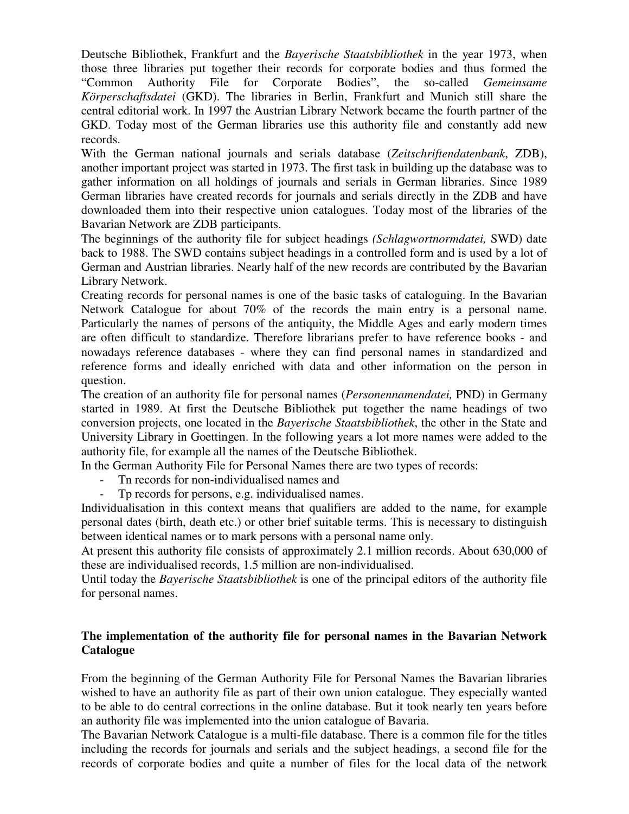Deutsche Bibliothek, Frankfurt and the *Bayerische Staatsbibliothek* in the year 1973, when those three libraries put together their records for corporate bodies and thus formed the "Common Authority File for Corporate Bodies", the so-called *Gemeinsame Körperschaftsdatei* (GKD). The libraries in Berlin, Frankfurt and Munich still share the central editorial work. In 1997 the Austrian Library Network became the fourth partner of the GKD. Today most of the German libraries use this authority file and constantly add new records.

With the German national journals and serials database (*Zeitschriftendatenbank*, ZDB), another important project was started in 1973. The first task in building up the database was to gather information on all holdings of journals and serials in German libraries. Since 1989 German libraries have created records for journals and serials directly in the ZDB and have downloaded them into their respective union catalogues. Today most of the libraries of the Bavarian Network are ZDB participants.

The beginnings of the authority file for subject headings *(Schlagwortnormdatei,* SWD) date back to 1988. The SWD contains subject headings in a controlled form and is used by a lot of German and Austrian libraries. Nearly half of the new records are contributed by the Bavarian Library Network.

Creating records for personal names is one of the basic tasks of cataloguing. In the Bavarian Network Catalogue for about 70% of the records the main entry is a personal name. Particularly the names of persons of the antiquity, the Middle Ages and early modern times are often difficult to standardize. Therefore librarians prefer to have reference books - and nowadays reference databases - where they can find personal names in standardized and reference forms and ideally enriched with data and other information on the person in question.

The creation of an authority file for personal names (*Personennamendatei,* PND) in Germany started in 1989. At first the Deutsche Bibliothek put together the name headings of two conversion projects, one located in the *Bayerische Staatsbibliothek*, the other in the State and University Library in Goettingen. In the following years a lot more names were added to the authority file, for example all the names of the Deutsche Bibliothek.

In the German Authority File for Personal Names there are two types of records:

- Tn records for non-individualised names and
- Tp records for persons, e.g. individualised names.

Individualisation in this context means that qualifiers are added to the name, for example personal dates (birth, death etc.) or other brief suitable terms. This is necessary to distinguish between identical names or to mark persons with a personal name only.

At present this authority file consists of approximately 2.1 million records. About 630,000 of these are individualised records, 1.5 million are non-individualised.

Until today the *Bayerische Staatsbibliothek* is one of the principal editors of the authority file for personal names.

# **The implementation of the authority file for personal names in the Bavarian Network Catalogue**

From the beginning of the German Authority File for Personal Names the Bavarian libraries wished to have an authority file as part of their own union catalogue. They especially wanted to be able to do central corrections in the online database. But it took nearly ten years before an authority file was implemented into the union catalogue of Bavaria.

The Bavarian Network Catalogue is a multi-file database. There is a common file for the titles including the records for journals and serials and the subject headings, a second file for the records of corporate bodies and quite a number of files for the local data of the network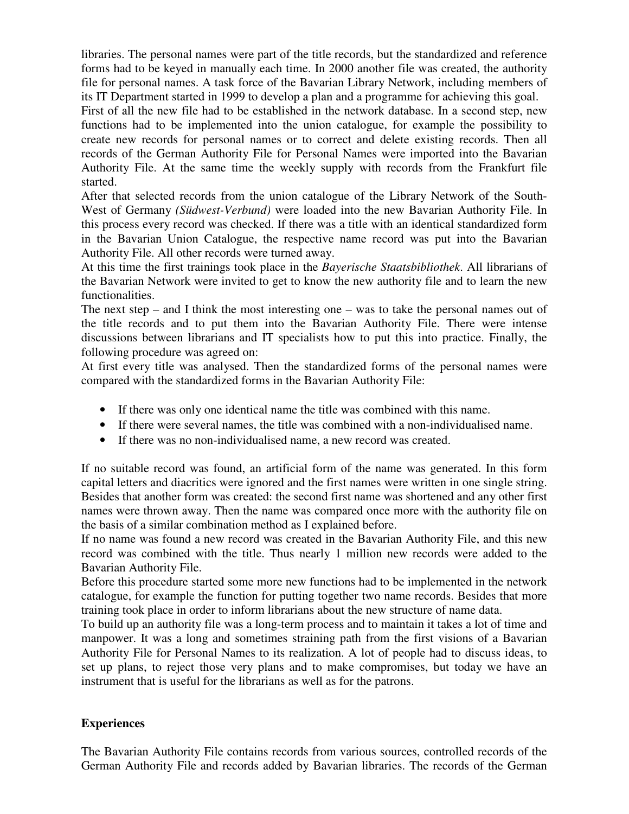libraries. The personal names were part of the title records, but the standardized and reference forms had to be keyed in manually each time. In 2000 another file was created, the authority file for personal names. A task force of the Bavarian Library Network, including members of its IT Department started in 1999 to develop a plan and a programme for achieving this goal.

First of all the new file had to be established in the network database. In a second step, new functions had to be implemented into the union catalogue, for example the possibility to create new records for personal names or to correct and delete existing records. Then all records of the German Authority File for Personal Names were imported into the Bavarian Authority File. At the same time the weekly supply with records from the Frankfurt file started.

After that selected records from the union catalogue of the Library Network of the South-West of Germany *(Südwest-Verbund)* were loaded into the new Bavarian Authority File. In this process every record was checked. If there was a title with an identical standardized form in the Bavarian Union Catalogue, the respective name record was put into the Bavarian Authority File. All other records were turned away.

At this time the first trainings took place in the *Bayerische Staatsbibliothek*. All librarians of the Bavarian Network were invited to get to know the new authority file and to learn the new functionalities.

The next step – and I think the most interesting one – was to take the personal names out of the title records and to put them into the Bavarian Authority File. There were intense discussions between librarians and IT specialists how to put this into practice. Finally, the following procedure was agreed on:

At first every title was analysed. Then the standardized forms of the personal names were compared with the standardized forms in the Bavarian Authority File:

- If there was only one identical name the title was combined with this name.
- If there were several names, the title was combined with a non-individualised name.
- If there was no non-individualised name, a new record was created.

If no suitable record was found, an artificial form of the name was generated. In this form capital letters and diacritics were ignored and the first names were written in one single string. Besides that another form was created: the second first name was shortened and any other first names were thrown away. Then the name was compared once more with the authority file on the basis of a similar combination method as I explained before.

If no name was found a new record was created in the Bavarian Authority File, and this new record was combined with the title. Thus nearly 1 million new records were added to the Bavarian Authority File.

Before this procedure started some more new functions had to be implemented in the network catalogue, for example the function for putting together two name records. Besides that more training took place in order to inform librarians about the new structure of name data.

To build up an authority file was a long-term process and to maintain it takes a lot of time and manpower. It was a long and sometimes straining path from the first visions of a Bavarian Authority File for Personal Names to its realization. A lot of people had to discuss ideas, to set up plans, to reject those very plans and to make compromises, but today we have an instrument that is useful for the librarians as well as for the patrons.

## **Experiences**

The Bavarian Authority File contains records from various sources, controlled records of the German Authority File and records added by Bavarian libraries. The records of the German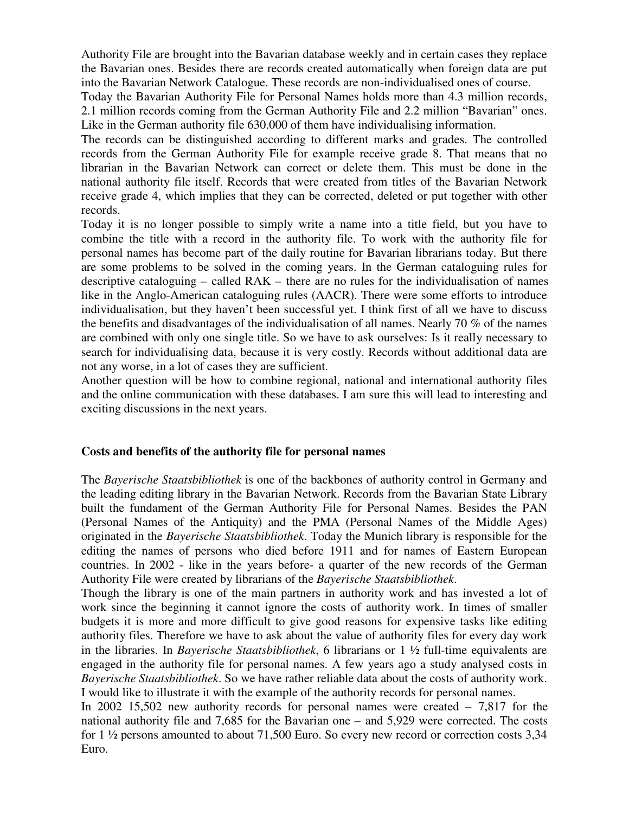Authority File are brought into the Bavarian database weekly and in certain cases they replace the Bavarian ones. Besides there are records created automatically when foreign data are put into the Bavarian Network Catalogue. These records are non-individualised ones of course.

Today the Bavarian Authority File for Personal Names holds more than 4.3 million records, 2.1 million records coming from the German Authority File and 2.2 million "Bavarian" ones. Like in the German authority file 630.000 of them have individualising information.

The records can be distinguished according to different marks and grades. The controlled records from the German Authority File for example receive grade 8. That means that no librarian in the Bavarian Network can correct or delete them. This must be done in the national authority file itself. Records that were created from titles of the Bavarian Network receive grade 4, which implies that they can be corrected, deleted or put together with other records.

Today it is no longer possible to simply write a name into a title field, but you have to combine the title with a record in the authority file. To work with the authority file for personal names has become part of the daily routine for Bavarian librarians today. But there are some problems to be solved in the coming years. In the German cataloguing rules for descriptive cataloguing – called RAK – there are no rules for the individualisation of names like in the Anglo-American cataloguing rules (AACR). There were some efforts to introduce individualisation, but they haven't been successful yet. I think first of all we have to discuss the benefits and disadvantages of the individualisation of all names. Nearly 70 % of the names are combined with only one single title. So we have to ask ourselves: Is it really necessary to search for individualising data, because it is very costly. Records without additional data are not any worse, in a lot of cases they are sufficient.

Another question will be how to combine regional, national and international authority files and the online communication with these databases. I am sure this will lead to interesting and exciting discussions in the next years.

#### **Costs and benefits of the authority file for personal names**

The *Bayerische Staatsbibliothek* is one of the backbones of authority control in Germany and the leading editing library in the Bavarian Network. Records from the Bavarian State Library built the fundament of the German Authority File for Personal Names. Besides the PAN (Personal Names of the Antiquity) and the PMA (Personal Names of the Middle Ages) originated in the *Bayerische Staatsbibliothek*. Today the Munich library is responsible for the editing the names of persons who died before 1911 and for names of Eastern European countries. In 2002 - like in the years before- a quarter of the new records of the German Authority File were created by librarians of the *Bayerische Staatsbibliothek*.

Though the library is one of the main partners in authority work and has invested a lot of work since the beginning it cannot ignore the costs of authority work. In times of smaller budgets it is more and more difficult to give good reasons for expensive tasks like editing authority files. Therefore we have to ask about the value of authority files for every day work in the libraries. In *Bayerische Staatsbibliothek*, 6 librarians or 1 ½ full-time equivalents are engaged in the authority file for personal names. A few years ago a study analysed costs in *Bayerische Staatsbibliothek*. So we have rather reliable data about the costs of authority work. I would like to illustrate it with the example of the authority records for personal names.

In 2002 15,502 new authority records for personal names were created – 7,817 for the national authority file and 7,685 for the Bavarian one – and 5,929 were corrected. The costs for 1 ½ persons amounted to about 71,500 Euro. So every new record or correction costs 3,34 Euro.